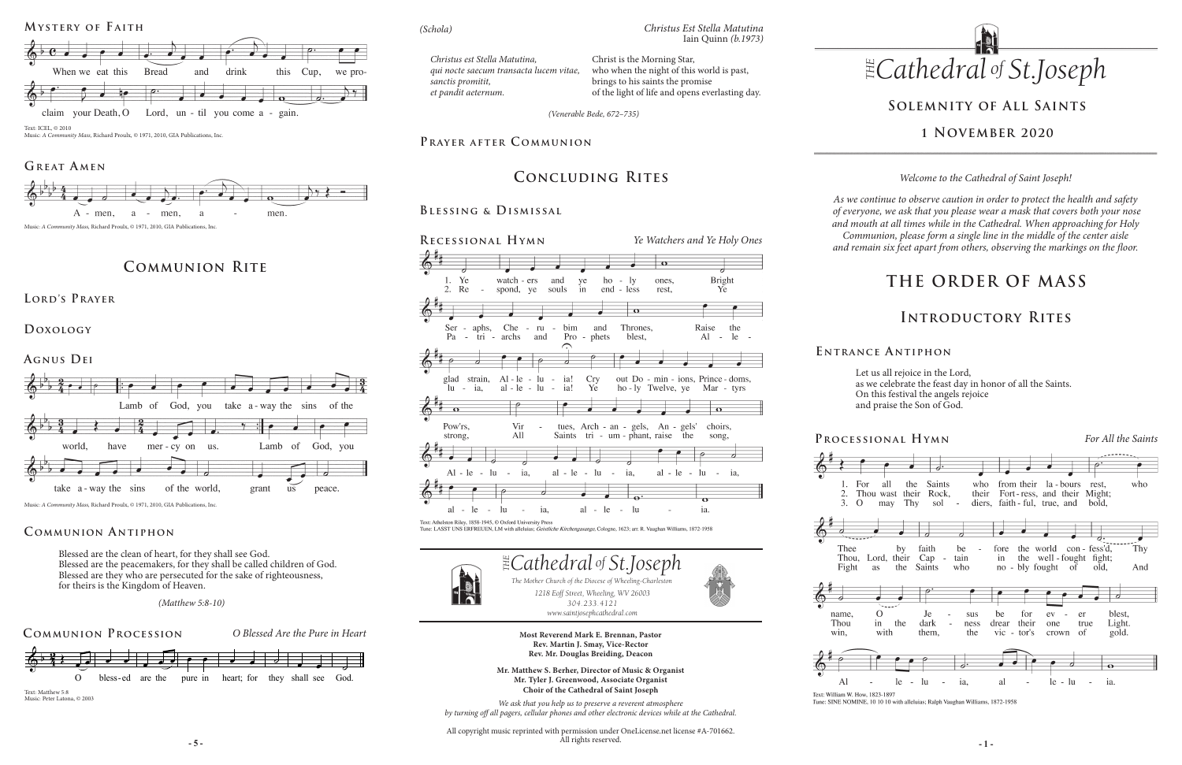# **THE ORDER OF MASS**

# **Solemnity of All Saints**

## **1 November 2020**

# **Communion Rite**

**Lord's Prayer**

**Doxology** 



Music: *A Community Mass,* Richard Proulx, © 1971, 2010, GIA Publications, Inc.

Blessed are the clean of heart, for they shall see God. Blessed are the peacemakers, for they shall be called children of God. Blessed are they who are persecuted for the sake of righteousness, for theirs is the Kingdom of Heaven.

## **Communion A ntiphon**

# **Concluding Rites**

## **Blessing & Dismissal**

**- 5 - - 1 -** All copyright music reprinted with permission under OneLicense.net license #A-701662. All rights reserved.

For  $\mathcal{D}$  $3.0$ 





win.

Al

Thou



Text: William W. How, 1823-1897





**Processional Hymn** *For All the Saints*



Tune: SINE NOMINE, 10 10 10 with alleluias; Ralph Vaughan Williams, 1872-1958

**E ntrance A ntiphon**

 *(Matthew 5:8-10) (Mt. 5:8-10)*

Let us all rejoice in the Lord, as we celebrate the feast day in honor of all the Saints. On this festival the angels rejoice and praise the Son of God.

## **Introductory Rites**

*Welcome to the Cathedral of Saint Joseph!*

*As we continue to observe caution in order to protect the health and safety of everyone, we ask that you please wear a mask that covers both your nose and mouth at all times while in the Cathedral. When approaching for Holy Communion, please form a single line in the middle of the center aisle and remain six feet apart from others, observing the markings on the floor.* 







Music: *A Community Mass,* Richard Proulx, © 1971, 2010, GIA Publications, Inc.

## GREAT AMEN



Music: *A Community Mass,* Richard Proulx, © 1971, 2010, GIA Publications, Inc.

*Christus est Stella Matutina, qui nocte saecum transacta lucem vitae, sanctis promitit, et pandit aeternum.*

Christ is the Morning Star, who when the night of this world is past, brings to his saints the promise of the light of life and opens everlasting day.

*Christus Est Stella Matutina*

Iain Quinn *(b.1973)*

*(Schola)*

*(Venerable Bede, 672–735)*

## PRAYER AFTER COMMUNION

Music: Peter Latona, © 2003